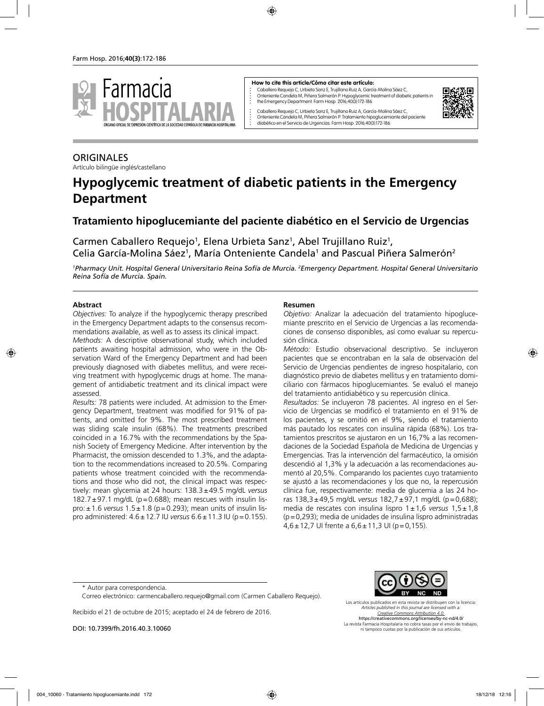

#### **How to cite this article/Cómo citar este artículo:**

Caballero Requejo C, Urbieta Sanz E, Trujillano Ruiz A, García-Molina Sáez C, Onteniente Candela M, Piñera Salmerón P. Hypoglycemic treatment of diabetic patients in the Emergency Department. Farm Hosp. 2016;40(3):172-186.



Caballero Requejo C, Urbieta Sanz E, Trujillano Ruiz A, García-Molina Sáez C, Onteniente Candela M, Piñera Salmerón P. Tratamiento hipoglucemiante del paciente diabético en el Servicio de Urgencias. Farm Hosp. 2016;40(3):172-186.

# **ORIGINALES**

Artículo bilingüe inglés/castellano

# **Hypoglycemic treatment of diabetic patients in the Emergency Department**

## **Tratamiento hipoglucemiante del paciente diabético en el Servicio de Urgencias**

Carmen Caballero Requejo<sup>1</sup>, Elena Urbieta Sanz<sup>1</sup>, Abel Trujillano Ruiz<sup>1</sup>, Celia García-Molina Sáez<sup>1</sup>, María Onteniente Candela<sup>1</sup> and Pascual Piñera Salmerón<sup>2</sup>

*1 Pharmacy Unit. Hospital General Universitario Reina Sofía de Murcia. 2 Emergency Department. Hospital General Universitario Reina Sofía de Murcia. Spain.*

#### **Abstract**

*Objectives:* To analyze if the hypoglycemic therapy prescribed in the Emergency Department adapts to the consensus recommendations available, as well as to assess its clinical impact.

*Methods:* A descriptive observational study, which included patients awaiting hospital admission, who were in the Observation Ward of the Emergency Department and had been previously diagnosed with diabetes mellitus, and were receiving treatment with hypoglycemic drugs at home. The management of antidiabetic treatment and its clinical impact were assessed.

*Results:* 78 patients were included. At admission to the Emergency Department, treatment was modified for 91% of patients, and omitted for 9%. The most prescribed treatment was sliding scale insulin (68%). The treatments prescribed coincided in a 16.7% with the recommendations by the Spanish Society of Emergency Medicine. After intervention by the Pharmacist, the omission descended to 1.3%, and the adaptation to the recommendations increased to 20.5%. Comparing patients whose treatment coincided with the recommendations and those who did not, the clinical impact was respectively: mean glycemia at 24 hours: 138.3±49.5 mg/dL *versus* 182.7 $\pm$ 97.1 mg/dL (p=0.688); mean rescues with insulin lispro:±1.6 *versus* 1.5±1.8 (p=0.293); mean units of insulin lispro administered: 4.6±12.7 IU *versus* 6.6±11.3 IU (p=0.155).

#### **Resumen**

*Objetivo:* Analizar la adecuación del tratamiento hipoglucemiante prescrito en el Servicio de Urgencias a las recomendaciones de consenso disponibles, así como evaluar su repercusión clínica.

*Método:* Estudio observacional descriptivo. Se incluyeron pacientes que se encontraban en la sala de observación del Servicio de Urgencias pendientes de ingreso hospitalario, con diagnóstico previo de diabetes mellitus y en tratamiento domiciliario con fármacos hipoglucemiantes. Se evaluó el manejo del tratamiento antidiabético y su repercusión clínica.

*Resultados:* Se incluyeron 78 pacientes. Al ingreso en el Servicio de Urgencias se modificó el tratamiento en el 91% de los pacientes, y se omitió en el 9%, siendo el tratamiento más pautado los rescates con insulina rápida (68%). Los tratamientos prescritos se ajustaron en un 16,7% a las recomendaciones de la Sociedad Española de Medicina de Urgencias y Emergencias. Tras la intervención del farmacéutico, la omisión descendió al 1,3% y la adecuación a las recomendaciones aumentó al 20,5%. Comparando los pacientes cuyo tratamiento se ajustó a las recomendaciones y los que no, la repercusión clínica fue, respectivamente: media de glucemia a las 24 horas 138,3±49,5 mg/dL *versus* 182,7±97,1 mg/dL (p=0,688); media de rescates con insulina lispro 1±1,6 *versus* 1,5±1,8 (p=0,293); media de unidades de insulina lispro administradas 4,6±12,7 UI frente a 6,6±11,3 UI (p=0,155).

Recibido el 21 de octubre de 2015; aceptado el 24 de febrero de 2016.

DOI: 10.7399/fh.2016.40.3.10060



Los artículos publicados en esta revista se distribuyen con la licencia: *Articles published in this journal are licensed with a: Creative Commons Attribution 4.0.* https://creativecommons.org/licenses/by-nc-nd/4.0/ La revista Farmacia Hospitalaria no cobra tasas por el envío de trabajos, ni tampoco cuotas por la publicación de sus artículos.

<sup>\*</sup> Autor para correspondencia.

Correo electrónico: carmencaballero.requejo@gmail.com (Carmen Caballero Requejo).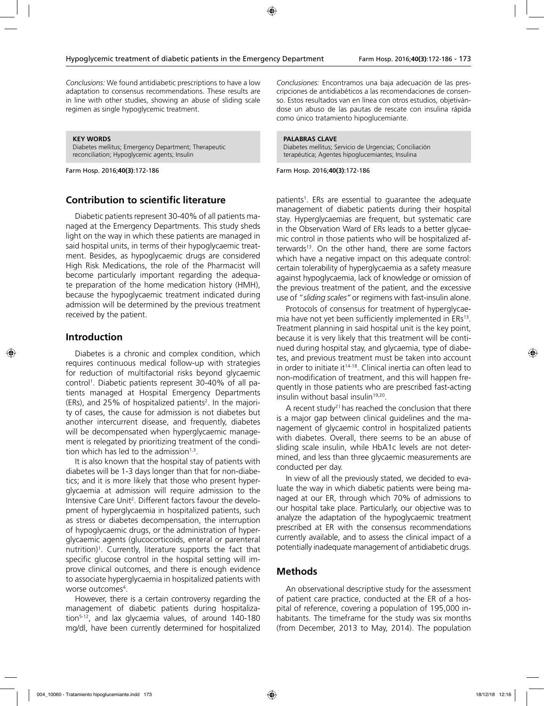*Conclusions:* We found antidiabetic prescriptions to have a low adaptation to consensus recommendations. These results are in line with other studies, showing an abuse of sliding scale regimen as single hypoglycemic treatment.

**KEY WORDS**

Diabetes mellitus; Emergency Department; Therapeutic reconciliation; Hypoglycemic agents; Insulin

Farm Hosp. 2016;**40(3)**:172-186

#### **Contribution to scientific literature**

Diabetic patients represent 30-40% of all patients managed at the Emergency Departments. This study sheds light on the way in which these patients are managed in said hospital units, in terms of their hypoglycaemic treatment. Besides, as hypoglycaemic drugs are considered High Risk Medications, the role of the Pharmacist will become particularly important regarding the adequate preparation of the home medication history (HMH), because the hypoglycaemic treatment indicated during admission will be determined by the previous treatment received by the patient.

#### **Introduction**

Diabetes is a chronic and complex condition, which requires continuous medical follow-up with strategies for reduction of multifactorial risks beyond glycaemic control1 . Diabetic patients represent 30-40% of all patients managed at Hospital Emergency Departments (ERs), and 25% of hospitalized patients<sup>2</sup>. In the majority of cases, the cause for admission is not diabetes but another intercurrent disease, and frequently, diabetes will be decompensated when hyperglycaemic management is relegated by prioritizing treatment of the condition which has led to the admission $1,3$ .

It is also known that the hospital stay of patients with diabetes will be 1-3 days longer than that for non-diabetics; and it is more likely that those who present hyperglycaemia at admission will require admission to the Intensive Care Unit<sup>2</sup>. Different factors favour the development of hyperglycaemia in hospitalized patients, such as stress or diabetes decompensation, the interruption of hypoglycaemic drugs, or the administration of hyperglycaemic agents (glucocorticoids, enteral or parenteral nutrition)<sup>1</sup>. Currently, literature supports the fact that specific glucose control in the hospital setting will improve clinical outcomes, and there is enough evidence to associate hyperglycaemia in hospitalized patients with worse outcomes<sup>4</sup>.

However, there is a certain controversy regarding the management of diabetic patients during hospitalization<sup>5-12</sup>, and lax glycaemia values, of around 140-180 mg/dl, have been currently determined for hospitalized

*Conclusiones:* Encontramos una baja adecuación de las prescripciones de antidiabéticos a las recomendaciones de consenso. Estos resultados van en línea con otros estudios, objetivándose un abuso de las pautas de rescate con insulina rápida como único tratamiento hipoglucemiante.

#### **PALABRAS CLAVE**

Diabetes mellitus; Servicio de Urgencias; Conciliación terapéutica; Agentes hipoglucemiantes; Insulina

Farm Hosp. 2016;**40(3)**:172-186

patients1 . ERs are essential to guarantee the adequate management of diabetic patients during their hospital stay. Hyperglycaemias are frequent, but systematic care in the Observation Ward of ERs leads to a better glycaemic control in those patients who will be hospitalized afterwards<sup>13</sup>. On the other hand, there are some factors which have a negative impact on this adequate control: certain tolerability of hyperglycaemia as a safety measure against hypoglycaemia, lack of knowledge or omission of the previous treatment of the patient, and the excessive use of "*sliding scales"* or regimens with fast-insulin alone.

Protocols of consensus for treatment of hyperglycaemia have not yet been sufficiently implemented in ERs<sup>13</sup>. Treatment planning in said hospital unit is the key point, because it is very likely that this treatment will be continued during hospital stay, and glycaemia, type of diabetes, and previous treatment must be taken into account in order to initiate it<sup>14-18</sup>. Clinical inertia can often lead to non-modification of treatment, and this will happen frequently in those patients who are prescribed fast-acting insulin without basal insulin<sup>19,20</sup>.

A recent study<sup>21</sup> has reached the conclusion that there is a major gap between clinical guidelines and the management of glycaemic control in hospitalized patients with diabetes. Overall, there seems to be an abuse of sliding scale insulin, while HbA1c levels are not determined, and less than three glycaemic measurements are conducted per day.

In view of all the previously stated, we decided to evaluate the way in which diabetic patients were being managed at our ER, through which 70% of admissions to our hospital take place. Particularly, our objective was to analyze the adaptation of the hypoglycaemic treatment prescribed at ER with the consensus recommendations currently available, and to assess the clinical impact of a potentially inadequate management of antidiabetic drugs.

#### **Methods**

An observational descriptive study for the assessment of patient care practice, conducted at the ER of a hospital of reference, covering a population of 195,000 inhabitants. The timeframe for the study was six months (from December, 2013 to May, 2014). The population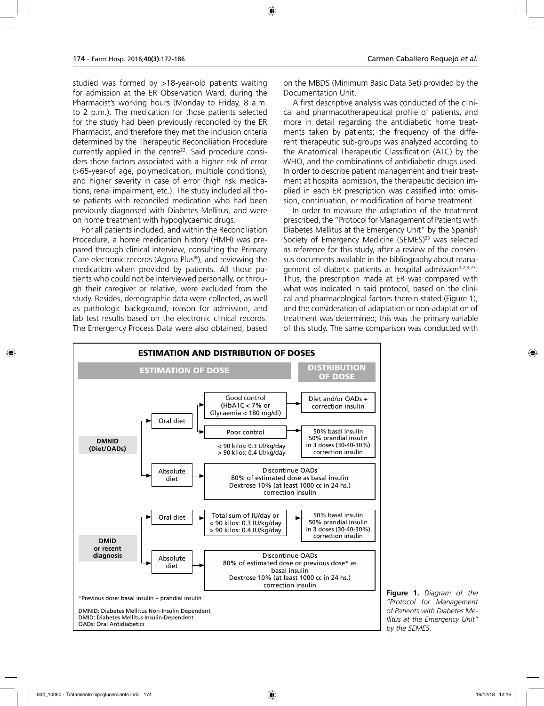studied was formed by >18-year-old patients waiting for admission at the ER Observation Ward, during the Pharmacist's working hours (Monday to Friday, 8 a.m. to 2 p.m.). The medication for those patients selected for the study had been previously reconciled by the ER Pharmacist, and therefore they met the inclusion criteria determined by the Therapeutic Reconciliation Procedure currently applied in the centre<sup>22</sup>. Said procedure considers those factors associated with a higher risk of error (>65-year-of age, polymedication, multiple conditions), and higher severity in case of error (high risk medications, renal impairment, etc.). The study included all those patients with reconciled medication who had been previously diagnosed with Diabetes Mellitus, and were on home treatment with hypoglycaemic drugs.

For all patients included, and within the Reconciliation Procedure, a home medication history (HMH) was prepared through clinical interview, consulting the Primary Care electronic records (Agora Plus®), and reviewing the medication when provided by patients. All those patients who could not be interviewed personally, or through their caregiver or relative, were excluded from the study. Besides, demographic data were collected, as well as pathologic background, reason for admission, and lab test results based on the electronic clinical records. The Emergency Process Data were also obtained, based

on the MBDS (Minimum Basic Data Set) provided by the Documentation Unit.

A first descriptive analysis was conducted of the clinical and pharmacotherapeutical profile of patients, and more in detail regarding the antidiabetic home treatments taken by patients; the frequency of the different therapeutic sub-groups was analyzed according to the Anatomical Therapeutic Classification (ATC) by the WHO, and the combinations of antidiabetic drugs used. In order to describe patient management and their treatment at hospital admission, the therapeutic decision implied in each ER prescription was classified into: omission, continuation, or modification of home treatment.

In order to measure the adaptation of the treatment prescribed, the "Protocol for Management of Patients with Diabetes Mellitus at the Emergency Unit" by the Spanish Society of Emergency Medicine (SEMES)<sup>23</sup> was selected as reference for this study, after a review of the consensus documents available in the bibliography about management of diabetic patients at hospital admission<sup>1,2,3,23</sup>. Thus, the prescription made at ER was compared with what was indicated in said protocol, based on the clinical and pharmacological factors therein stated (Figure 1), and the consideration of adaptation or non-adaptation of treatment was determined; this was the primary variable of this study. The same comparison was conducted with



**Figure 1.** *Diagram of the "Protocol for Management of Patients with Diabetes Mellitus at the Emergency Unit" by the SEMES.*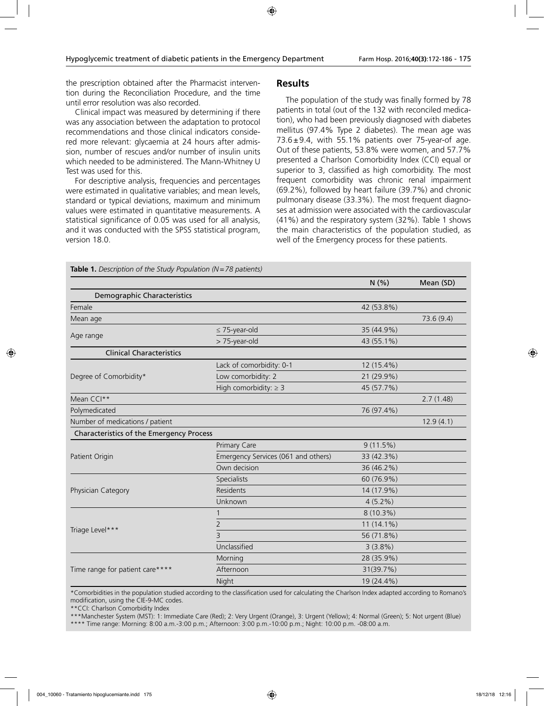the prescription obtained after the Pharmacist intervention during the Reconciliation Procedure, and the time until error resolution was also recorded.

Clinical impact was measured by determining if there was any association between the adaptation to protocol recommendations and those clinical indicators considered more relevant: glycaemia at 24 hours after admission, number of rescues and/or number of insulin units which needed to be administered. The Mann-Whitney U Test was used for this.

For descriptive analysis, frequencies and percentages were estimated in qualitative variables; and mean levels, standard or typical deviations, maximum and minimum values were estimated in quantitative measurements. A statistical significance of 0.05 was used for all analysis, and it was conducted with the SPSS statistical program, version 18.0.

**Table 1.** *Description of the Study Population (N=78 patients)*

#### **Results**

The population of the study was finally formed by 78 patients in total (out of the 132 with reconciled medication), who had been previously diagnosed with diabetes mellitus (97.4% Type 2 diabetes). The mean age was  $73.6 \pm 9.4$ , with 55.1% patients over 75-year-of age. Out of these patients, 53.8% were women, and 57.7% presented a Charlson Comorbidity Index (CCI) equal or superior to 3, classified as high comorbidity. The most frequent comorbidity was chronic renal impairment (69.2%), followed by heart failure (39.7%) and chronic pulmonary disease (33.3%). The most frequent diagnoses at admission were associated with the cardiovascular (41%) and the respiratory system (32%). Table 1 shows the main characteristics of the population studied, as well of the Emergency process for these patients.

|                                          |                                     | N(% )        | Mean (SD)  |
|------------------------------------------|-------------------------------------|--------------|------------|
| Demographic Characteristics              |                                     |              |            |
| Female                                   |                                     | 42 (53.8%)   |            |
| Mean age                                 |                                     |              | 73.6 (9.4) |
|                                          | $\leq$ 75-year-old                  | 35 (44.9%)   |            |
| Age range                                | > 75-year-old                       | 43 (55.1%)   |            |
| <b>Clinical Characteristics</b>          |                                     |              |            |
|                                          | Lack of comorbidity: 0-1            | 12 (15.4%)   |            |
| Degree of Comorbidity*                   | Low comorbidity: 2                  | 21 (29.9%)   |            |
|                                          | High comorbidity: $\geq$ 3          | 45 (57.7%)   |            |
| Mean CCI**                               |                                     |              | 2.7(1.48)  |
| Polymedicated                            |                                     | 76 (97.4%)   |            |
| Number of medications / patient          |                                     |              | 12.9(4.1)  |
| Characteristics of the Emergency Process |                                     |              |            |
|                                          | Primary Care                        | 9(11.5%)     |            |
| Patient Origin                           | Emergency Services (061 and others) | 33 (42.3%)   |            |
|                                          | Own decision                        | 36 (46.2%)   |            |
|                                          | Specialists                         | 60 (76.9%)   |            |
| Physician Category                       | Residents                           | 14 (17.9%)   |            |
|                                          | Unknown                             | $4(5.2\%)$   |            |
|                                          |                                     | 8 (10.3%)    |            |
|                                          | 2                                   | $11(14.1\%)$ |            |
| Triage Level***                          | 3                                   | 56 (71.8%)   |            |
|                                          | Unclassified                        | 3(3.8%)      |            |
|                                          | Morning                             | 28 (35.9%)   |            |
| Time range for patient care****          | Afternoon                           | 31(39.7%)    |            |
|                                          | Night                               | 19 (24.4%)   |            |

\*Comorbidities in the population studied according to the classification used for calculating the Charlson Index adapted according to Romano's modification, using the CIE-9-MC codes.

\*\*CCI: Charlson Comorbidity Index

\*\*\*Manchester System (MST): 1: Immediate Care (Red); 2: Very Urgent (Orange), 3: Urgent (Yellow); 4: Normal (Green); 5: Not urgent (Blue) \*\*\*\* Time range: Morning: 8:00 a.m.-3:00 p.m.; Afternoon: 3:00 p.m.-10:00 p.m.; Night: 10:00 p.m. -08:00 a.m.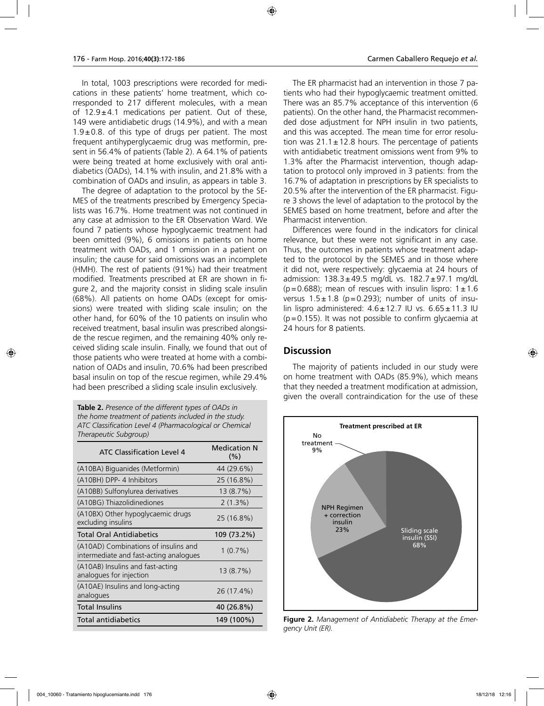In total, 1003 prescriptions were recorded for medications in these patients' home treatment, which corresponded to 217 different molecules, with a mean of  $12.9 \pm 4.1$  medications per patient. Out of these, 149 were antidiabetic drugs (14.9%), and with a mean  $1.9\pm0.8$ . of this type of drugs per patient. The most frequent antihyperglycaemic drug was metformin, present in 56.4% of patients (Table 2). A 64.1% of patients were being treated at home exclusively with oral antidiabetics (OADs), 14.1% with insulin, and 21.8% with a combination of OADs and insulin, as appears in table 3.

The degree of adaptation to the protocol by the SE-MES of the treatments prescribed by Emergency Specialists was 16.7%. Home treatment was not continued in any case at admission to the ER Observation Ward. We found 7 patients whose hypoglycaemic treatment had been omitted (9%), 6 omissions in patients on home treatment with OADs, and 1 omission in a patient on insulin; the cause for said omissions was an incomplete (HMH). The rest of patients (91%) had their treatment modified. Treatments prescribed at ER are shown in figure 2, and the majority consist in sliding scale insulin (68%). All patients on home OADs (except for omissions) were treated with sliding scale insulin; on the other hand, for 60% of the 10 patients on insulin who received treatment, basal insulin was prescribed alongside the rescue regimen, and the remaining 40% only received sliding scale insulin. Finally, we found that out of those patients who were treated at home with a combination of OADs and insulin, 70.6% had been prescribed basal insulin on top of the rescue regimen, while 29.4% had been prescribed a sliding scale insulin exclusively.

**Table 2.** *Presence of the different types of OADs in the home treatment of patients included in the study. ATC Classification Level 4 (Pharmacological or Chemical Therapeutic Subgroup)*

| <b>ATC Classification Level 4</b>                                              | <b>Medication N</b><br>(%) |
|--------------------------------------------------------------------------------|----------------------------|
| (A10BA) Biguanides (Metformin)                                                 | 44 (29.6%)                 |
| (A10BH) DPP- 4 Inhibitors                                                      | 25 (16.8%)                 |
| (A10BB) Sulfonylurea derivatives                                               | 13(8.7%)                   |
| (A10BG) Thiazolidinediones                                                     | 2(1.3%)                    |
| (A10BX) Other hypoglycaemic drugs<br>excluding insulins                        | 25 (16.8%)                 |
| <b>Total Oral Antidiabetics</b>                                                | 109 (73.2%)                |
| (A10AD) Combinations of insulins and<br>intermediate and fast-acting analogues | $1(0.7\%)$                 |
| (A10AB) Insulins and fast-acting<br>analogues for injection                    | 13(8.7%)                   |
| (A10AE) Insulins and long-acting<br>analogues                                  | 26 (17.4%)                 |
| <b>Total Insulins</b>                                                          | 40 (26.8%)                 |
| Total antidiabetics                                                            | 149 (100%)                 |

The ER pharmacist had an intervention in those 7 patients who had their hypoglycaemic treatment omitted. There was an 85.7% acceptance of this intervention (6 patients). On the other hand, the Pharmacist recommended dose adjustment for NPH insulin in two patients, and this was accepted. The mean time for error resolution was  $21.1 \pm 12.8$  hours. The percentage of patients with antidiabetic treatment omissions went from 9% to 1.3% after the Pharmacist intervention, though adaptation to protocol only improved in 3 patients: from the 16.7% of adaptation in prescriptions by ER specialists to 20.5% after the intervention of the ER pharmacist. Figure 3 shows the level of adaptation to the protocol by the SEMES based on home treatment, before and after the Pharmacist intervention.

Differences were found in the indicators for clinical relevance, but these were not significant in any case. Thus, the outcomes in patients whose treatment adapted to the protocol by the SEMES and in those where it did not, were respectively: glycaemia at 24 hours of admission:  $138.3 \pm 49.5$  mg/dL vs.  $182.7 \pm 97.1$  mg/dL ( $p=0.688$ ); mean of rescues with insulin lispro:  $1\pm1.6$ versus  $1.5 \pm 1.8$  (p=0.293); number of units of insulin lispro administered:  $4.6 \pm 12.7$  IU vs.  $6.65 \pm 11.3$  IU  $(p=0.155)$ . It was not possible to confirm glycaemia at 24 hours for 8 patients.

#### **Discussion**

The majority of patients included in our study were on home treatment with OADs (85.9%), which means that they needed a treatment modification at admission, given the overall contraindication for the use of these



**Figure 2.** *Management of Antidiabetic Therapy at the Emergency Unit (ER).*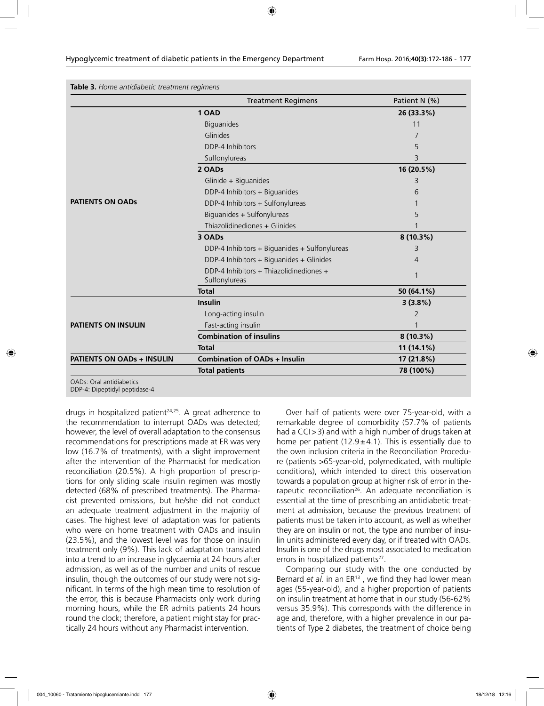|                            | <b>Treatment Regimens</b>                                | Patient N (%)  |
|----------------------------|----------------------------------------------------------|----------------|
|                            | 1 OAD                                                    | 26 (33.3%)     |
|                            | <b>Biguanides</b>                                        | 11             |
|                            | Glinides                                                 | 7              |
|                            | DDP-4 Inhibitors                                         | 5              |
|                            | Sulfonylureas                                            | 3              |
|                            | 2 OADs                                                   | 16 (20.5%)     |
|                            | Glinide + Biguanides                                     | 3              |
|                            | DDP-4 Inhibitors + Biguanides                            | 6              |
| <b>PATIENTS ON OADS</b>    | DDP-4 Inhibitors + Sulfonylureas                         |                |
|                            | Biguanides + Sulfonylureas                               | 5              |
|                            | Thiazolidinediones + Glinides                            |                |
|                            | 3 OADs                                                   | $8(10.3\%)$    |
|                            | DDP-4 Inhibitors + Biguanides + Sulfonylureas            | 3              |
|                            | DDP-4 Inhibitors + Biguanides + Glinides                 | $\overline{4}$ |
|                            | DDP-4 Inhibitors + Thiazolidinediones +<br>Sulfonylureas | $\mathbf{1}$   |
|                            | <b>Total</b>                                             | 50 (64.1%)     |
|                            | Insulin                                                  | 3(3.8%)        |
|                            | Long-acting insulin                                      | 2              |
| <b>PATIENTS ON INSULIN</b> | Fast-acting insulin                                      |                |
|                            | <b>Combination of insulins</b>                           | $8(10.3\%)$    |
|                            | <b>Total</b>                                             | 11 (14.1%)     |
| PATIENTS ON OADs + INSULIN | <b>Combination of OADs + Insulin</b>                     | 17 (21.8%)     |
|                            | <b>Total patients</b>                                    | 78 (100%)      |

DDP-4: Dipeptidyl peptidase-4

drugs in hospitalized patient<sup>24,25</sup>. A great adherence to the recommendation to interrupt OADs was detected; however, the level of overall adaptation to the consensus recommendations for prescriptions made at ER was very low (16.7% of treatments), with a slight improvement after the intervention of the Pharmacist for medication reconciliation (20.5%). A high proportion of prescriptions for only sliding scale insulin regimen was mostly detected (68% of prescribed treatments). The Pharmacist prevented omissions, but he/she did not conduct an adequate treatment adjustment in the majority of cases. The highest level of adaptation was for patients who were on home treatment with OADs and insulin (23.5%), and the lowest level was for those on insulin treatment only (9%). This lack of adaptation translated into a trend to an increase in glycaemia at 24 hours after admission, as well as of the number and units of rescue insulin, though the outcomes of our study were not significant. In terms of the high mean time to resolution of the error, this is because Pharmacists only work during morning hours, while the ER admits patients 24 hours round the clock; therefore, a patient might stay for practically 24 hours without any Pharmacist intervention.

Over half of patients were over 75-year-old, with a remarkable degree of comorbidity (57.7% of patients had a CCI>3) and with a high number of drugs taken at home per patient (12.9 $\pm$ 4.1). This is essentially due to the own inclusion criteria in the Reconciliation Procedure (patients >65-year-old, polymedicated, with multiple conditions), which intended to direct this observation towards a population group at higher risk of error in therapeutic reconciliation<sup>26</sup>. An adequate reconciliation is essential at the time of prescribing an antidiabetic treatment at admission, because the previous treatment of patients must be taken into account, as well as whether they are on insulin or not, the type and number of insulin units administered every day, or if treated with OADs. Insulin is one of the drugs most associated to medication errors in hospitalized patients $2^7$ .

Comparing our study with the one conducted by Bernard *et al.* in an ER<sup>13</sup>, we find they had lower mean ages (55-year-old), and a higher proportion of patients on insulin treatment at home that in our study (56-62% versus 35.9%). This corresponds with the difference in age and, therefore, with a higher prevalence in our patients of Type 2 diabetes, the treatment of choice being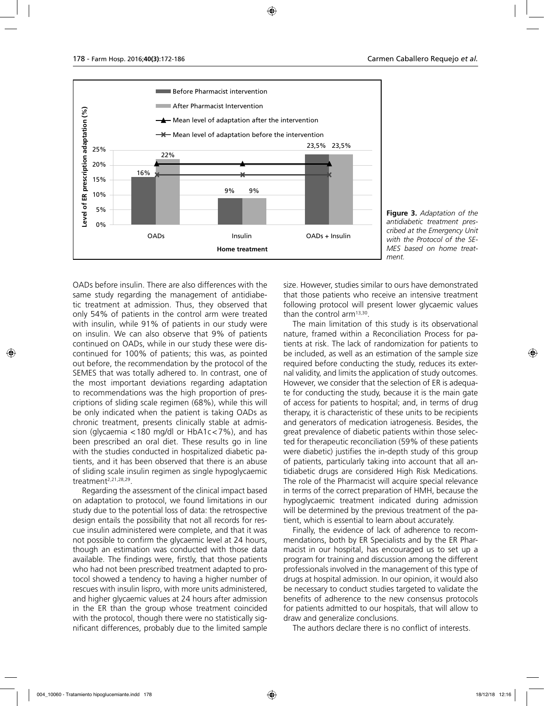

**Figure 3.** *Adaptation of the antidiabetic treatment prescribed at the Emergency Unit with the Protocol of the SE-MES based on home treatment.*

OADs before insulin. There are also differences with the same study regarding the management of antidiabetic treatment at admission. Thus, they observed that only 54% of patients in the control arm were treated with insulin, while 91% of patients in our study were on insulin. We can also observe that 9% of patients continued on OADs, while in our study these were discontinued for 100% of patients; this was, as pointed out before, the recommendation by the protocol of the SEMES that was totally adhered to. In contrast, one of the most important deviations regarding adaptation to recommendations was the high proportion of prescriptions of sliding scale regimen (68%), while this will be only indicated when the patient is taking OADs as chronic treatment, presents clinically stable at admission (glycaemia <180 mg/dl or HbA1c<7%), and has been prescribed an oral diet. These results go in line with the studies conducted in hospitalized diabetic patients, and it has been observed that there is an abuse of sliding scale insulin regimen as single hypoglycaemic treatment<sup>2,21,28,29</sup>.

Regarding the assessment of the clinical impact based on adaptation to protocol, we found limitations in our study due to the potential loss of data: the retrospective design entails the possibility that not all records for rescue insulin administered were complete, and that it was not possible to confirm the glycaemic level at 24 hours, though an estimation was conducted with those data available. The findings were, firstly, that those patients who had not been prescribed treatment adapted to protocol showed a tendency to having a higher number of rescues with insulin lispro, with more units administered, and higher glycaemic values at 24 hours after admission in the ER than the group whose treatment coincided with the protocol, though there were no statistically significant differences, probably due to the limited sample

size. However, studies similar to ours have demonstrated that those patients who receive an intensive treatment following protocol will present lower glycaemic values than the control arm<sup>13,30</sup>.

The main limitation of this study is its observational nature, framed within a Reconciliation Process for patients at risk. The lack of randomization for patients to be included, as well as an estimation of the sample size required before conducting the study, reduces its external validity, and limits the application of study outcomes. However, we consider that the selection of ER is adequate for conducting the study, because it is the main gate of access for patients to hospital; and, in terms of drug therapy, it is characteristic of these units to be recipients and generators of medication iatrogenesis. Besides, the great prevalence of diabetic patients within those selected for therapeutic reconciliation (59% of these patients were diabetic) justifies the in-depth study of this group of patients, particularly taking into account that all antidiabetic drugs are considered High Risk Medications. The role of the Pharmacist will acquire special relevance in terms of the correct preparation of HMH, because the hypoglycaemic treatment indicated during admission will be determined by the previous treatment of the patient, which is essential to learn about accurately.

Finally, the evidence of lack of adherence to recommendations, both by ER Specialists and by the ER Pharmacist in our hospital, has encouraged us to set up a program for training and discussion among the different professionals involved in the management of this type of drugs at hospital admission. In our opinion, it would also be necessary to conduct studies targeted to validate the benefits of adherence to the new consensus protocols for patients admitted to our hospitals, that will allow to draw and generalize conclusions.

The authors declare there is no conflict of interests.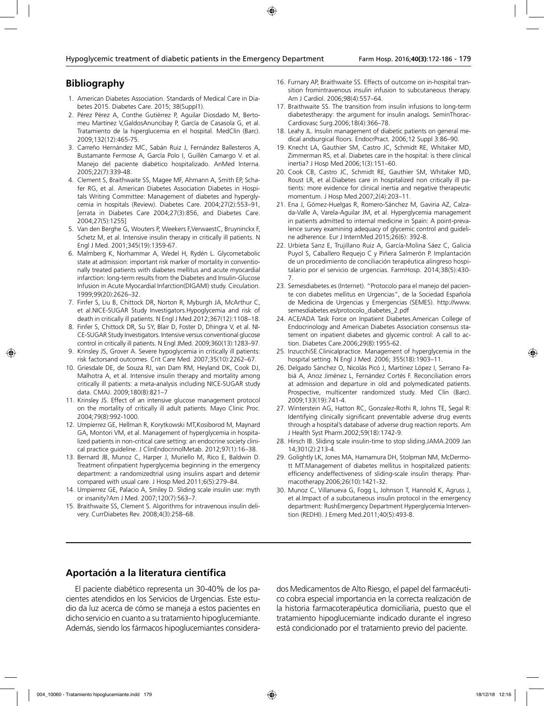### **Bibliography**

- 1. American Diabetes Association. Standards of Medical Care in Diabetes 2015. Diabetes Care. 2015; 38(Suppl1).
- 2. Pérez Pérez A, Conthe Gutiérrez P, Aguilar Diosdado M, Bertomeu Martínez V,GaldosAnuncibay P, García de Casasola G, et al. Tratamiento de la hiperglucemia en el hospital. MedClin (Barc). 2009;132(12):465-75.
- 3. Carreño Hernández MC, Sabán Ruiz J, Fernández Ballesteros A, Bustamante Fermose A, García Polo I, Guillén Camargo V. et al. Manejo del paciente diabético hospitalizado. AnMed Interna. 2005;22(7):339-48.
- 4. Clement S, Braithwaite SS, Magee MF, Ahmann A, Smith EP, Schafer RG, et al. American Diabetes Association Diabetes in Hospitals Writing Committee: Management of diabetes and hyperglycemia in hospitals (Review). Diabetes Care. 2004;27(2):553–91, [errata in Diabetes Care 2004;27(3):856, and Diabetes Care. 2004;27(5):1255]
- 5. Van den Berghe G, Wouters P, Weekers F,VerwaestC, Bruyninckx F, Schetz M, et al. Intensive insulin therapy in critically ill patients. N Engl J Med. 2001;345(19):1359-67.
- 6. Malmberg K, Norhammar A, Wedel H, Rydén L. Glycometabolic state at admission: important risk marker of mortality in conventionally treated patients with diabetes mellitus and acute myocardial infarction: long-term results from the Diabetes and Insulin-Glucose Infusion in Acute Myocardial Infarction(DIGAMI) study. Circulation. 1999;99(20):2626–32.
- 7. Finfer S, Liu B, Chittock DR, Norton R, Myburgh JA, McArthur C, et al.NICE-SUGAR Study Investigators.Hypoglycemia and risk of death in critically ill patients. N Engl J Med.2012;367(12):1108–18.
- 8. Finfer S, Chittock DR, Su SY, Blair D, Foster D, Dhingra V, et al. NI-CE-SUGAR Study Investigators. Intensive versus conventional glucose control in critically ill patients. N Engl JMed. 2009;360(13):1283–97.
- 9. Krinsley JS, Grover A. Severe hypoglycemia in critically ill patients: risk factorsand outcomes. Crit Care Med. 2007;35(10):2262–67.
- 10. Griesdale DE, de Souza RJ, van Dam RM, Heyland DK, Cook DJ, Malhotra A, et al. Intensive insulin therapy and mortality among critically ill patients: a meta-analysis including NICE-SUGAR study data. CMAJ. 2009;180(8):821–7
- 11. Krinsley JS. Effect of an intensive glucose management protocol on the mortality of critically ill adult patients. Mayo Clinic Proc. 2004;79(8):992-1000.
- 12. Umpierrez GE, Hellman R, Korytkowski MT,Kosiborod M, Maynard GA, Montori VM, et al. Management of hyperglycemia in hospitalized patients in non-critical care setting: an endocrine society clinical practice guideline. J ClinEndocrinolMetab. 2012;97(1):16–38.
- 13. Bernard JB, Munoz C, Harper J, Muriello M, Rico E, Baldwin D. Treatment ofinpatient hyperglycemia beginning in the emergency department: a randomizedtrial using insulins aspart and detemir compared with usual care. J Hosp Med.2011;6(5):279–84.
- 14. Umpierrez GE, Palacio A, Smiley D. Sliding scale insulin use: myth or insanity?Am J Med. 2007;120(7):563–7.
- 15. Braithwaite SS, Clement S. Algorithms for intravenous insulin delivery. CurrDiabetes Rev. 2008;4(3):258–68.
- 16. Furnary AP, Braithwaite SS. Effects of outcome on in-hospital transition fromintravenous insulin infusion to subcutaneous therapy. Am J Cardiol. 2006;98(4):557–64.
- 17. Braithwaite SS. The transition from insulin infusions to long-term diabetestherapy: the argument for insulin analogs. SeminThorac-Cardiovasc Surg.2006;18(4):366–78.
- 18. Leahy JL. Insulin management of diabetic patients on general medical andsurgical floors. EndocrPract. 2006;12 Suppl 3:86–90.
- 19. Knecht LA, Gauthier SM, Castro JC, Schmidt RE, Whitaker MD, Zimmerman RS, et al. Diabetes care in the hospital: is there clinical inertia? J Hosp Med.2006;1(3):151–60.
- 20. Cook CB, Castro JC, Schmidt RE, Gauthier SM, Whitaker MD, Roust LR, et al.Diabetes care in hospitalized non critically ill patients: more evidence for clinical inertia and negative therapeutic momentum. J Hosp Med.2007;2(4):203–11.
- 21. Ena J, Gómez-Huelgas R, Romero-Sánchez M, Gaviria AZ, Calzada-Valle A, Varela-Aguilar JM, et al. Hyperglycemia management in patients admitted to internal medicine in Spain: A point-prevalence survey examining adequacy of glycemic control and guideline adherence. Eur J InternMed.2015;26(6): 392-8.
- 22. Urbieta Sanz E, Trujillano Ruiz A, García-Molina Sáez C, Galicia Puyol S, Caballero Requejo C y Piñera Salmerón P. Implantación de un procedimiento de conciliación terapéutica alingreso hospitalario por el servicio de urgencias. FarmHosp. 2014;38(5):430- 7.
- 23. Semesdiabetes.es (Internet). "Protocolo para el manejo del paciente con diabetes mellitus en Urgencias", de la Sociedad Española de Medicina de Urgencias y Emergencias (SEMES). http://www. semesdiabetes.es/protocolo\_diabetes\_2.pdf
- 24. ACE/ADA Task Force on Inpatient Diabetes.American College of Endocrinology and American Diabetes Association consensus statement on inpatient diabetes and glycemic control: A call to action. Diabetes Care.2006;29(8):1955-62.
- 25. InzucchiSE.Clinicalpractice. Management of hyperglycemia in the hospital setting. N Engl J Med. 2006; 355(18):1903–11.
- 26. Delgado Sánchez O, Nicolás Picó J, Martínez López I, Serrano Fabiá A, Anoz Jiménez L, Fernández Cortés F. Reconciliation errors at admission and departure in old and polymedicated patients. Prospective, multicenter randomized study. Med Clin (Barc). 2009;133(19):741-4.
- 27. Winterstein AG, Hatton RC, Gonzalez-Rothi R, Johns TE, Segal R: Identifying clinically significant preventable adverse drug events through a hospital's database of adverse drug reaction reports. Am J Health Syst Pharm.2002;59(18):1742-9.
- 28. Hirsch IB. Sliding scale insulin-time to stop sliding.JAMA.2009 Jan 14;301(2):213-4.
- 29. Golightly LK, Jones MA, Hamamura DH, Stolpman NM, McDermott MT.Management of diabetes mellitus in hospitalized patients: efficiency andeffectiveness of sliding-scale insulin therapy. Pharmacotherapy.2006;26(10):1421-32.
- 30. Munoz C, Villanueva G, Fogg L, Johnson T, Hannold K, Agruss J, et al.Impact of a subcutaneous insulin protocol in the emergency department: RushEmergency Department Hyperglycemia Intervention (REDHI). J Emerg Med.2011;40(5):493-8.

#### **Aportación a la literatura científica**

El paciente diabético representa un 30-40% de los pacientes atendidos en los Servicios de Urgencias. Este estudio da luz acerca de cómo se maneja a estos pacientes en dicho servicio en cuanto a su tratamiento hipoglucemiante. Además, siendo los fármacos hipoglucemiantes considera-

dos Medicamentos de Alto Riesgo, el papel del farmacéutico cobra especial importancia en la correcta realización de la historia farmacoterapéutica domiciliaria, puesto que el tratamiento hipoglucemiante indicado durante el ingreso está condicionado por el tratamiento previo del paciente.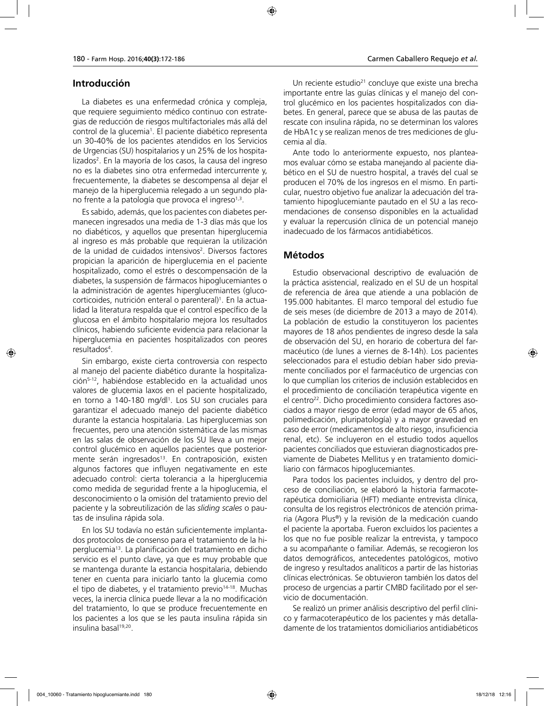#### **Introducción**

La diabetes es una enfermedad crónica y compleja, que requiere seguimiento médico continuo con estrategias de reducción de riesgos multifactoriales más allá del control de la glucemia<sup>1</sup>. El paciente diabético representa un 30-40% de los pacientes atendidos en los Servicios de Urgencias (SU) hospitalarios y un 25% de los hospitalizados<sup>2</sup>. En la mayoría de los casos, la causa del ingreso no es la diabetes sino otra enfermedad intercurrente y, frecuentemente, la diabetes se descompensa al dejar el manejo de la hiperglucemia relegado a un segundo plano frente a la patología que provoca el ingreso<sup>1,3</sup>.

Es sabido, además, que los pacientes con diabetes permanecen ingresados una media de 1-3 días más que los no diabéticos, y aquellos que presentan hiperglucemia al ingreso es más probable que requieran la utilización de la unidad de cuidados intensivos<sup>2</sup>. Diversos factores propician la aparición de hiperglucemia en el paciente hospitalizado, como el estrés o descompensación de la diabetes, la suspensión de fármacos hipoglucemiantes o la administración de agentes hiperglucemiantes (glucocorticoides, nutrición enteral o parenteral)<sup>1</sup>. En la actualidad la literatura respalda que el control específico de la glucosa en el ámbito hospitalario mejora los resultados clínicos, habiendo suficiente evidencia para relacionar la hiperglucemia en pacientes hospitalizados con peores resultados4 .

Sin embargo, existe cierta controversia con respecto al manejo del paciente diabético durante la hospitalización5-12, habiéndose establecido en la actualidad unos valores de glucemia laxos en el paciente hospitalizado, en torno a 140-180 mg/dl<sup>1</sup>. Los SU son cruciales para garantizar el adecuado manejo del paciente diabético durante la estancia hospitalaria. Las hiperglucemias son frecuentes, pero una atención sistemática de las mismas en las salas de observación de los SU lleva a un mejor control glucémico en aquellos pacientes que posteriormente serán ingresados<sup>13</sup>. En contraposición, existen algunos factores que influyen negativamente en este adecuado control: cierta tolerancia a la hiperglucemia como medida de seguridad frente a la hipoglucemia, el desconocimiento o la omisión del tratamiento previo del paciente y la sobreutilización de las *sliding scales* o pautas de insulina rápida sola.

En los SU todavía no están suficientemente implantados protocolos de consenso para el tratamiento de la hiperglucemia13. La planificación del tratamiento en dicho servicio es el punto clave, ya que es muy probable que se mantenga durante la estancia hospitalaria, debiendo tener en cuenta para iniciarlo tanto la glucemia como el tipo de diabetes, y el tratamiento previo<sup>14-18</sup>. Muchas veces, la inercia clínica puede llevar a la no modificación del tratamiento, lo que se produce frecuentemente en los pacientes a los que se les pauta insulina rápida sin insulina basal<sup>19,20</sup>.

Un reciente estudio<sup>21</sup> concluye que existe una brecha importante entre las guías clínicas y el manejo del control glucémico en los pacientes hospitalizados con diabetes. En general, parece que se abusa de las pautas de rescate con insulina rápida, no se determinan los valores de HbA1c y se realizan menos de tres mediciones de glucemia al día.

Ante todo lo anteriormente expuesto, nos planteamos evaluar cómo se estaba manejando al paciente diabético en el SU de nuestro hospital, a través del cual se producen el 70% de los ingresos en el mismo. En particular, nuestro objetivo fue analizar la adecuación del tratamiento hipoglucemiante pautado en el SU a las recomendaciones de consenso disponibles en la actualidad y evaluar la repercusión clínica de un potencial manejo inadecuado de los fármacos antidiabéticos.

#### **Métodos**

Estudio observacional descriptivo de evaluación de la práctica asistencial, realizado en el SU de un hospital de referencia de área que atiende a una población de 195.000 habitantes. El marco temporal del estudio fue de seis meses (de diciembre de 2013 a mayo de 2014). La población de estudio la constituyeron los pacientes mayores de 18 años pendientes de ingreso desde la sala de observación del SU, en horario de cobertura del farmacéutico (de lunes a viernes de 8-14h). Los pacientes seleccionados para el estudio debían haber sido previamente conciliados por el farmacéutico de urgencias con lo que cumplían los criterios de inclusión establecidos en el procedimiento de conciliación terapéutica vigente en el centro<sup>22</sup>. Dicho procedimiento considera factores asociados a mayor riesgo de error (edad mayor de 65 años, polimedicación, pluripatología) y a mayor gravedad en caso de error (medicamentos de alto riesgo, insuficiencia renal, etc). Se incluyeron en el estudio todos aquellos pacientes conciliados que estuvieran diagnosticados previamente de Diabetes Mellitus y en tratamiento domiciliario con fármacos hipoglucemiantes.

Para todos los pacientes incluidos, y dentro del proceso de conciliación, se elaboró la historia farmacoterapéutica domiciliaria (HFT) mediante entrevista clínica, consulta de los registros electrónicos de atención primaria (Agora Plus®) y la revisión de la medicación cuando el paciente la aportaba. Fueron excluidos los pacientes a los que no fue posible realizar la entrevista, y tampoco a su acompañante o familiar. Además, se recogieron los datos demográficos, antecedentes patológicos, motivo de ingreso y resultados analíticos a partir de las historias clínicas electrónicas. Se obtuvieron también los datos del proceso de urgencias a partir CMBD facilitado por el servicio de documentación.

Se realizó un primer análisis descriptivo del perfil clínico y farmacoterapéutico de los pacientes y más detalladamente de los tratamientos domiciliarios antidiabéticos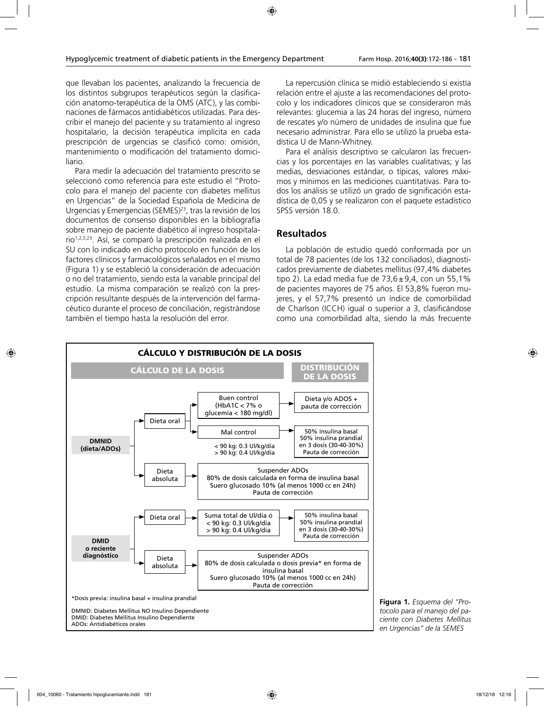que llevaban los pacientes, analizando la frecuencia de los distintos subgrupos terapéuticos según la clasificación anatomo-terapéutica de la OMS (ATC), y las combinaciones de fármacos antidiabéticos utilizadas. Para describir el manejo del paciente y su tratamiento al ingreso hospitalario, la decisión terapéutica implícita en cada prescripción de urgencias se clasificó como: omisión, mantenimiento o modificación del tratamiento domiciliario.

Para medir la adecuación del tratamiento prescrito se seleccionó como referencia para este estudio el "Protocolo para el manejo del paciente con diabetes mellitus en Urgencias" de la Sociedad Española de Medicina de Urgencias y Emergencias (SEMES)<sup>23</sup>, tras la revisión de los documentos de consenso disponibles en la bibliografía sobre manejo de paciente diabético al ingreso hospitalario1,2,3,23. Así, se comparó la prescripción realizada en el SU con lo indicado en dicho protocolo en función de los factores clínicos y farmacológicos señalados en el mismo (Figura 1) y se estableció la consideración de adecuación o no del tratamiento, siendo esta la variable principal del estudio. La misma comparación se realizó con la prescripción resultante después de la intervención del farmacéutico durante el proceso de conciliación, registrándose también el tiempo hasta la resolución del error.

La repercusión clínica se midió estableciendo si existía relación entre el ajuste a las recomendaciones del protocolo y los indicadores clínicos que se consideraron más relevantes: glucemia a las 24 horas del ingreso, número de rescates y/o número de unidades de insulina que fue necesario administrar. Para ello se utilizó la prueba estadística U de Mann-Whitney.

Para el análisis descriptivo se calcularon las frecuencias y los porcentajes en las variables cualitativas; y las medias, desviaciones estándar, o típicas, valores máximos y mínimos en las mediciones cuantitativas. Para todos los análisis se utilizó un grado de significación estadística de 0,05 y se realizaron con el paquete estadístico SPSS versión 18.0.

### **Resultados**

La población de estudio quedó conformada por un total de 78 pacientes (de los 132 conciliados), diagnosticados previamente de diabetes mellitus (97,4% diabetes tipo 2). La edad media fue de  $73,6\pm9,4$ , con un 55,1% de pacientes mayores de 75 años. El 53,8% fueron mujeres, y el 57,7% presentó un índice de comorbilidad de Charlson (ICCH) igual o superior a 3, clasificándose como una comorbilidad alta, siendo la más frecuente



**Figura 1.** *Esquema del "Protocolo para el manejo del paciente con Diabetes Mellitus en Urgencias" de la SEMES*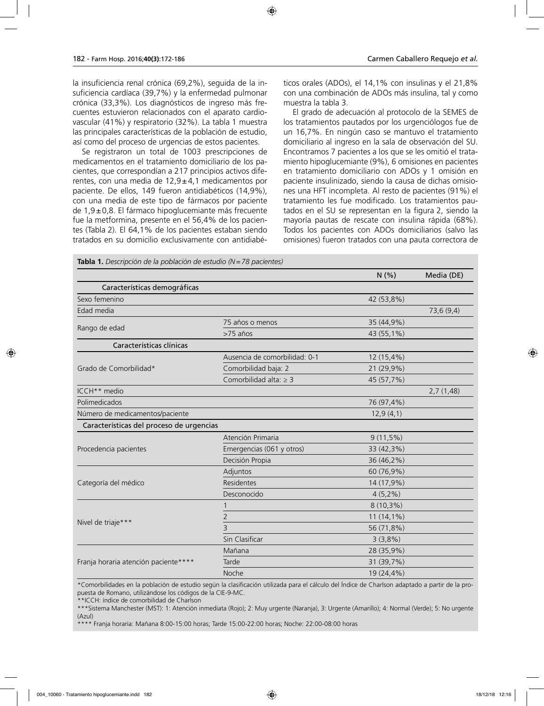la insuficiencia renal crónica (69,2%), seguida de la insuficiencia cardíaca (39,7%) y la enfermedad pulmonar crónica (33,3%). Los diagnósticos de ingreso más frecuentes estuvieron relacionados con el aparato cardiovascular (41%) y respiratorio (32%). La tabla 1 muestra las principales características de la población de estudio, así como del proceso de urgencias de estos pacientes.

Se registraron un total de 1003 prescripciones de medicamentos en el tratamiento domiciliario de los pacientes, que correspondían a 217 principios activos diferentes, con una media de  $12.9 \pm 4.1$  medicamentos por paciente. De ellos, 149 fueron antidiabéticos (14,9%), con una media de este tipo de fármacos por paciente de 1,9±0,8. El fármaco hipoglucemiante más frecuente fue la metformina, presente en el 56,4% de los pacientes (Tabla 2). El 64,1% de los pacientes estaban siendo tratados en su domicilio exclusivamente con antidiabéticos orales (ADOs), el 14,1% con insulinas y el 21,8% con una combinación de ADOs más insulina, tal y como muestra la tabla 3.

El grado de adecuación al protocolo de la SEMES de los tratamientos pautados por los urgenciólogos fue de un 16,7%. En ningún caso se mantuvo el tratamiento domiciliario al ingreso en la sala de observación del SU. Encontramos 7 pacientes a los que se les omitió el tratamiento hipoglucemiante (9%), 6 omisiones en pacientes en tratamiento domiciliario con ADOs y 1 omisión en paciente insulinizado, siendo la causa de dichas omisiones una HFT incompleta. Al resto de pacientes (91%) el tratamiento les fue modificado. Los tratamientos pautados en el SU se representan en la figura 2, siendo la mayoría pautas de rescate con insulina rápida (68%). Todos los pacientes con ADOs domiciliarios (salvo las omisiones) fueron tratados con una pauta correctora de

|                                          |                               | N(% )        | Media (DE) |
|------------------------------------------|-------------------------------|--------------|------------|
| Características demográficas             |                               |              |            |
| Sexo femenino                            |                               | 42 (53,8%)   |            |
| Edad media                               |                               |              | 73,6 (9,4) |
|                                          | 75 años o menos               | 35 (44,9%)   |            |
| Rango de edad                            | $>75$ años                    | 43 (55,1%)   |            |
| Características clínicas                 |                               |              |            |
|                                          | Ausencia de comorbilidad: 0-1 | 12 (15,4%)   |            |
| Grado de Comorbilidad*                   | Comorbilidad baja: 2          | 21 (29,9%)   |            |
|                                          | Comorbilidad alta: $\geq$ 3   | 45 (57,7%)   |            |
| ICCH** medio                             |                               |              | 2,7(1,48)  |
| Polimedicados                            |                               | 76 (97,4%)   |            |
| Número de medicamentos/paciente          |                               | 12,9(4,1)    |            |
| Características del proceso de urgencias |                               |              |            |
|                                          | Atención Primaria             | $9(11,5\%)$  |            |
| Procedencia pacientes                    | Emergencias (061 y otros)     | 33 (42,3%)   |            |
|                                          | Decisión Propia               | 36 (46,2%)   |            |
|                                          | Adjuntos                      | 60 (76,9%)   |            |
| Categoría del médico                     | Residentes                    | 14 (17,9%)   |            |
|                                          | Desconocido                   | $4(5,2\%)$   |            |
|                                          | 1                             | $8(10,3\%)$  |            |
|                                          | $\overline{2}$                | $11(14,1\%)$ |            |
| Nivel de triaje***                       | 3                             | 56 (71,8%)   |            |
|                                          | Sin Clasificar                | 3(3,8%)      |            |
|                                          | Mañana                        | 28 (35,9%)   |            |
| Franja horaria atención paciente****     | Tarde                         | 31 (39,7%)   |            |
|                                          | Noche                         | 19 (24,4%)   |            |

**Tabla 1.** *Descripción de la población de estudio (N=78 pacientes)*

\*Comorbilidades en la población de estudio según la clasificación utilizada para el cálculo del Índice de Charlson adaptado a partir de la propuesta de Romano, utilizándose los códigos de la CIE-9-MC.

\*\*ICCH: índice de comorbilidad de Charlson

\*\*\*Sistema Manchester (MST): 1: Atención inmediata (Rojo); 2: Muy urgente (Naranja), 3: Urgente (Amarillo); 4: Normal (Verde); 5: No urgente (Azul)

\*\*\*\* Franja horaria: Mañana 8:00-15:00 horas; Tarde 15:00-22:00 horas; Noche: 22:00-08:00 horas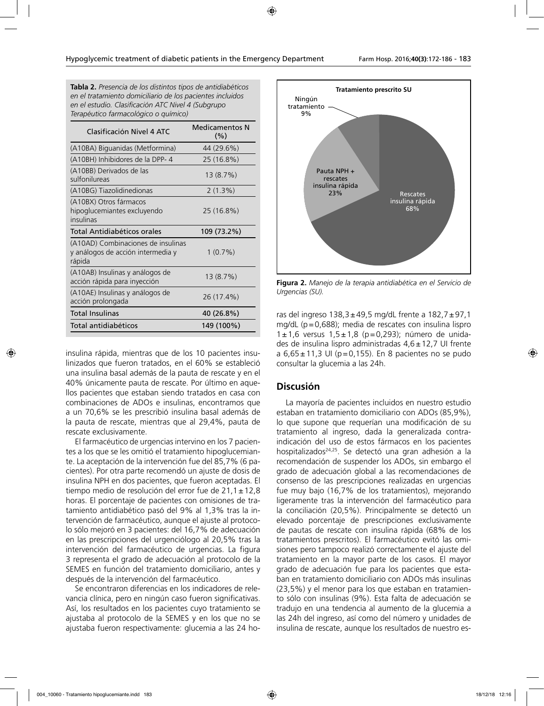**Tabla 2.** *Presencia de los distintos tipos de antidiabéticos en el tratamiento domiciliario de los pacientes incluidos en el estudio. Clasificación ATC Nivel 4 (Subgrupo Terapéutico farmacológico o químico)*

| Clasificación Nivel 4 ATC                                                         | <b>Medicamentos N</b><br>$(\% )$ |
|-----------------------------------------------------------------------------------|----------------------------------|
| (A10BA) Biguanidas (Metformina)                                                   | 44 (29.6%)                       |
| (A10BH) Inhibidores de la DPP-4                                                   | 25 (16.8%)                       |
| (A10BB) Derivados de las<br>sulfonilureas                                         | 13 (8.7%)                        |
| (A10BG) Tiazolidinedionas                                                         | $2(1.3\%)$                       |
| (A10BX) Otros fármacos<br>hipoglucemiantes excluyendo<br>insulinas                | 25 (16.8%)                       |
| Total Antidiabéticos orales                                                       | 109 (73.2%)                      |
| (A10AD) Combinaciones de insulinas<br>y análogos de acción intermedia y<br>rápida | 1(0.7%)                          |
| (A10AB) Insulinas y análogos de<br>acción rápida para inyección                   | 13 (8.7%)                        |
| (A10AE) Insulinas y análogos de<br>acción prolongada                              | 26 (17.4%)                       |
| <b>Total Insulinas</b>                                                            | 40 (26.8%)                       |
| Total antidiabéticos                                                              | 149 (100%)                       |

insulina rápida, mientras que de los 10 pacientes insulinizados que fueron tratados, en el 60% se estableció una insulina basal además de la pauta de rescate y en el 40% únicamente pauta de rescate. Por último en aquellos pacientes que estaban siendo tratados en casa con combinaciones de ADOs e insulinas, encontramos que a un 70,6% se les prescribió insulina basal además de la pauta de rescate, mientras que al 29,4%, pauta de rescate exclusivamente.

El farmacéutico de urgencias intervino en los 7 pacientes a los que se les omitió el tratamiento hipoglucemiante. La aceptación de la intervención fue del 85,7% (6 pacientes). Por otra parte recomendó un ajuste de dosis de insulina NPH en dos pacientes, que fueron aceptadas. El tiempo medio de resolución del error fue de  $21,1 \pm 12,8$ horas. El porcentaje de pacientes con omisiones de tratamiento antidiabético pasó del 9% al 1,3% tras la intervención de farmacéutico, aunque el ajuste al protocolo sólo mejoró en 3 pacientes: del 16,7% de adecuación en las prescripciones del urgenciólogo al 20,5% tras la intervención del farmacéutico de urgencias. La figura 3 representa el grado de adecuación al protocolo de la SEMES en función del tratamiento domiciliario, antes y después de la intervención del farmacéutico.

Se encontraron diferencias en los indicadores de relevancia clínica, pero en ningún caso fueron significativas. Así, los resultados en los pacientes cuyo tratamiento se ajustaba al protocolo de la SEMES y en los que no se ajustaba fueron respectivamente: glucemia a las 24 ho-



**Figura 2.** *Manejo de la terapia antidiabética en el Servicio de Urgencias (SU).*

ras del ingreso 138,3±49,5 mg/dL frente a 182,7±97,1 mg/dL (p=0,688); media de rescates con insulina lispro 1±1,6 versus 1,5±1,8 (p=0,293); número de unidades de insulina lispro administradas  $4.6 \pm 12.7$  UI frente a 6,65±11,3 UI (p=0,155). En 8 pacientes no se pudo consultar la glucemia a las 24h.

#### **Discusión**

La mayoría de pacientes incluidos en nuestro estudio estaban en tratamiento domiciliario con ADOs (85,9%), lo que supone que requerían una modificación de su tratamiento al ingreso, dada la generalizada contraindicación del uso de estos fármacos en los pacientes hospitalizados<sup>24,25</sup>. Se detectó una gran adhesión a la recomendación de suspender los ADOs, sin embargo el grado de adecuación global a las recomendaciones de consenso de las prescripciones realizadas en urgencias fue muy bajo (16,7% de los tratamientos), mejorando ligeramente tras la intervención del farmacéutico para la conciliación (20,5%). Principalmente se detectó un elevado porcentaje de prescripciones exclusivamente de pautas de rescate con insulina rápida (68% de los tratamientos prescritos). El farmacéutico evitó las omisiones pero tampoco realizó correctamente el ajuste del tratamiento en la mayor parte de los casos. El mayor grado de adecuación fue para los pacientes que estaban en tratamiento domiciliario con ADOs más insulinas (23,5%) y el menor para los que estaban en tratamiento sólo con insulinas (9%). Esta falta de adecuación se tradujo en una tendencia al aumento de la glucemia a las 24h del ingreso, así como del número y unidades de insulina de rescate, aunque los resultados de nuestro es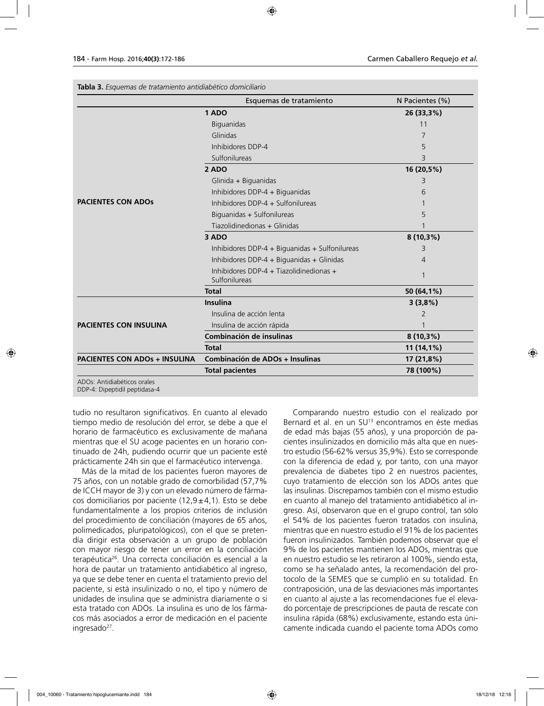**Tabla 3.** *Esquemas de tratamiento antidiabético domiciliario*

| 1ADO<br><b>Biguanidas</b><br>Glinidas<br>Inhibidores DDP-4<br>Sulfonilureas<br>2 ADO<br>Glinida + Biguanidas<br>Inhibidores DDP-4 + Biguanidas<br>Inhibidores DDP-4 + Sulfonilureas | 26 (33,3%)<br>11<br>7<br>5<br>3<br>16 (20,5%)<br>3<br>6 |
|-------------------------------------------------------------------------------------------------------------------------------------------------------------------------------------|---------------------------------------------------------|
|                                                                                                                                                                                     |                                                         |
|                                                                                                                                                                                     |                                                         |
|                                                                                                                                                                                     |                                                         |
|                                                                                                                                                                                     |                                                         |
|                                                                                                                                                                                     |                                                         |
|                                                                                                                                                                                     |                                                         |
|                                                                                                                                                                                     |                                                         |
|                                                                                                                                                                                     |                                                         |
|                                                                                                                                                                                     |                                                         |
| Biguanidas + Sulfonilureas                                                                                                                                                          | 5                                                       |
| Tiazolidinedionas + Glinidas                                                                                                                                                        |                                                         |
| 3 ADO                                                                                                                                                                               | $8(10,3\%)$                                             |
| Inhibidores DDP-4 + Biguanidas + Sulfonilureas                                                                                                                                      | 3                                                       |
| Inhibidores DDP-4 + Biguanidas + Glinidas                                                                                                                                           | 4                                                       |
| Inhibidores DDP-4 + Tiazolidinedionas +<br>Sulfonilureas                                                                                                                            |                                                         |
| <b>Total</b>                                                                                                                                                                        | 50 (64,1%)                                              |
| <b>Insulina</b>                                                                                                                                                                     | 3(3,8%)                                                 |
| Insulina de acción lenta                                                                                                                                                            | $\overline{2}$                                          |
| Insulina de acción rápida                                                                                                                                                           |                                                         |
| Combinación de insulinas                                                                                                                                                            | $8(10,3\%)$                                             |
| <b>Total</b>                                                                                                                                                                        | 11 (14,1%)                                              |
| Combinación de ADOs + Insulinas<br><b>PACIENTES CON ADOS + INSULINA</b>                                                                                                             | 17 (21,8%)                                              |
| <b>Total pacientes</b>                                                                                                                                                              | 78 (100%)                                               |
|                                                                                                                                                                                     |                                                         |

DDP-4: Dipeptidil peptidasa-4

tudio no resultaron significativos. En cuanto al elevado tiempo medio de resolución del error, se debe a que el horario de farmacéutico es exclusivamente de mañana mientras que el SU acoge pacientes en un horario continuado de 24h, pudiendo ocurrir que un paciente esté prácticamente 24h sin que el farmacéutico intervenga.

Más de la mitad de los pacientes fueron mayores de 75 años, con un notable grado de comorbilidad (57,7% de ICCH mayor de 3) y con un elevado número de fármacos domiciliarios por paciente  $(12,9 \pm 4,1)$ . Esto se debe fundamentalmente a los propios criterios de inclusión del procedimiento de conciliación (mayores de 65 años, polimedicados, pluripatológicos), con el que se pretendía dirigir esta observación a un grupo de población con mayor riesgo de tener un error en la conciliación terapéutica26. Una correcta conciliación es esencial a la hora de pautar un tratamiento antidiabético al ingreso, ya que se debe tener en cuenta el tratamiento previo del paciente, si está insulinizado o no, el tipo y número de unidades de insulina que se administra diariamente o si esta tratado con ADOs. La insulina es uno de los fármacos más asociados a error de medicación en el paciente ingresado27.

Comparando nuestro estudio con el realizado por Bernard et al. en un SU<sup>13</sup> encontramos en éste medias de edad más bajas (55 años), y una proporción de pacientes insulinizados en domicilio más alta que en nuestro estudio (56-62% versus 35,9%). Esto se corresponde con la diferencia de edad y, por tanto, con una mayor prevalencia de diabetes tipo 2 en nuestros pacientes, cuyo tratamiento de elección son los ADOs antes que las insulinas. Discrepamos también con el mismo estudio en cuanto al manejo del tratamiento antidiabético al ingreso. Así, observaron que en el grupo control, tan sólo el 54% de los pacientes fueron tratados con insulina, mientras que en nuestro estudio el 91% de los pacientes fueron insulinizados. También podemos observar que el 9% de los pacientes mantienen los ADOs, mientras que en nuestro estudio se les retiraron al 100%, siendo esta, como se ha señalado antes, la recomendación del protocolo de la SEMES que se cumplió en su totalidad. En contraposición, una de las desviaciones más importantes en cuanto al ajuste a las recomendaciones fue el elevado porcentaje de prescripciones de pauta de rescate con insulina rápida (68%) exclusivamente, estando esta únicamente indicada cuando el paciente toma ADOs como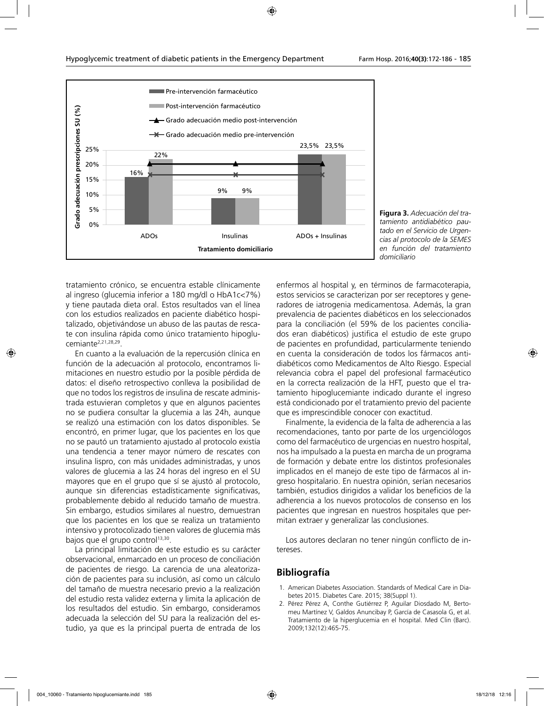

**Figura 3.** *Adecuación del tratamiento antidiabético pautado en el Servicio de Urgencias al protocolo de la SEMES en función del tratamiento domiciliario*

tratamiento crónico, se encuentra estable clínicamente al ingreso (glucemia inferior a 180 mg/dl o HbA1c<7%) y tiene pautada dieta oral. Estos resultados van el línea con los estudios realizados en paciente diabético hospitalizado, objetivándose un abuso de las pautas de rescate con insulina rápida como único tratamiento hipoglucemiante2,21,28,29.

En cuanto a la evaluación de la repercusión clínica en función de la adecuación al protocolo, encontramos limitaciones en nuestro estudio por la posible pérdida de datos: el diseño retrospectivo conlleva la posibilidad de que no todos los registros de insulina de rescate administrada estuvieran completos y que en algunos pacientes no se pudiera consultar la glucemia a las 24h, aunque se realizó una estimación con los datos disponibles. Se encontró, en primer lugar, que los pacientes en los que no se pautó un tratamiento ajustado al protocolo existía una tendencia a tener mayor número de rescates con insulina lispro, con más unidades administradas, y unos valores de glucemia a las 24 horas del ingreso en el SU mayores que en el grupo que sí se ajustó al protocolo, aunque sin diferencias estadísticamente significativas, probablemente debido al reducido tamaño de muestra. Sin embargo, estudios similares al nuestro, demuestran que los pacientes en los que se realiza un tratamiento intensivo y protocolizado tienen valores de glucemia más bajos que el grupo control<sup>13,30</sup>.

La principal limitación de este estudio es su carácter observacional, enmarcado en un proceso de conciliación de pacientes de riesgo. La carencia de una aleatorización de pacientes para su inclusión, así como un cálculo del tamaño de muestra necesario previo a la realización del estudio resta validez externa y limita la aplicación de los resultados del estudio. Sin embargo, consideramos adecuada la selección del SU para la realización del estudio, ya que es la principal puerta de entrada de los

enfermos al hospital y, en términos de farmacoterapia, estos servicios se caracterizan por ser receptores y generadores de iatrogenia medicamentosa. Además, la gran prevalencia de pacientes diabéticos en los seleccionados para la conciliación (el 59% de los pacientes conciliados eran diabéticos) justifica el estudio de este grupo de pacientes en profundidad, particularmente teniendo en cuenta la consideración de todos los fármacos antidiabéticos como Medicamentos de Alto Riesgo. Especial relevancia cobra el papel del profesional farmacéutico en la correcta realización de la HFT, puesto que el tratamiento hipoglucemiante indicado durante el ingreso está condicionado por el tratamiento previo del paciente que es imprescindible conocer con exactitud.

Finalmente, la evidencia de la falta de adherencia a las recomendaciones, tanto por parte de los urgenciólogos como del farmacéutico de urgencias en nuestro hospital, nos ha impulsado a la puesta en marcha de un programa de formación y debate entre los distintos profesionales implicados en el manejo de este tipo de fármacos al ingreso hospitalario. En nuestra opinión, serían necesarios también, estudios dirigidos a validar los beneficios de la adherencia a los nuevos protocolos de consenso en los pacientes que ingresan en nuestros hospitales que permitan extraer y generalizar las conclusiones.

Los autores declaran no tener ningún conflicto de intereses.

#### **Bibliografía**

- 1. American Diabetes Association. Standards of Medical Care in Diabetes 2015. Diabetes Care. 2015; 38(Suppl 1).
- 2. Pérez Pérez A, Conthe Gutiérrez P, Aguilar Diosdado M, Bertomeu Martínez V, Galdos Anuncibay P, García de Casasola G, et al. Tratamiento de la hiperglucemia en el hospital. Med Clin (Barc). 2009;132(12):465-75.